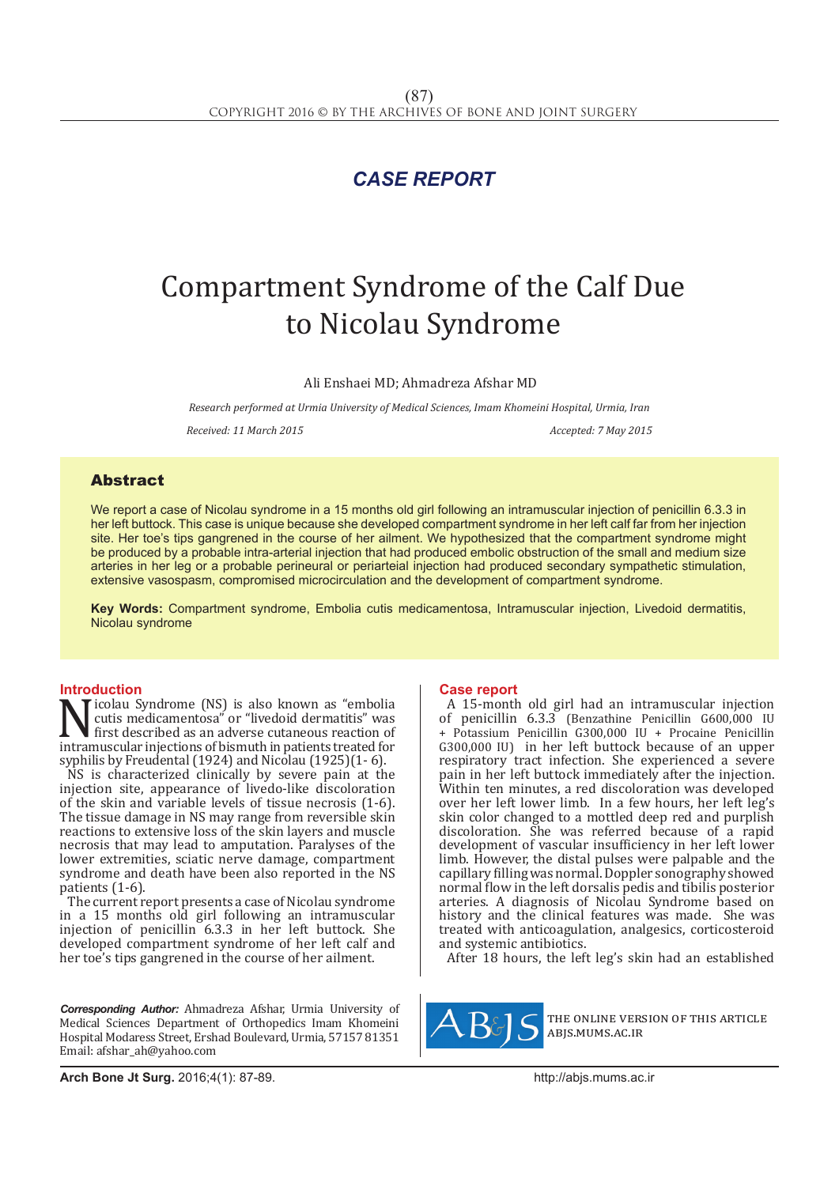# *CASE REPORT*

# Compartment Syndrome of the Calf Due to Nicolau Syndrome

Ali Enshaei MD; Ahmadreza Afshar MD

*Research performed at Urmia University of Medical Sciences, Imam Khomeini Hospital, Urmia, Iran*

*Received: 11 March 2015 Accepted: 7 May 2015*

## Abstract

We report a case of Nicolau syndrome in a 15 months old girl following an intramuscular injection of penicillin 6.3.3 in her left buttock. This case is unique because she developed compartment syndrome in her left calf far from her injection site. Her toe's tips gangrened in the course of her ailment. We hypothesized that the compartment syndrome might be produced by a probable intra-arterial injection that had produced embolic obstruction of the small and medium size arteries in her leg or a probable perineural or periarteial injection had produced secondary sympathetic stimulation, extensive vasospasm, compromised microcirculation and the development of compartment syndrome.

**Key Words:** Compartment syndrome, Embolia cutis medicamentosa, Intramuscular injection, Livedoid dermatitis, Nicolau syndrome

### **Introduction**

Nicolau Syndrome (NS) is also known as "embolia"<br>cutis medicamentosa" or "livedoid dermatitis" was<br>first described as an adverse cutaneous reaction of<br>intramuscular injections of bismuth in patients treated for<br>synbilis by cutis medicamentosa" or "livedoid dermatitis" was first described as an adverse cutaneous reaction of intramuscular injections of bismuth in patients treated for syphilis by Freudental (1924) and Nicolau (1925)(1- 6).

NS is characterized clinically by severe pain at the injection site, appearance of livedo-like discoloration of the skin and variable levels of tissue necrosis (1-6). The tissue damage in NS may range from reversible skin reactions to extensive loss of the skin layers and muscle necrosis that may lead to amputation. Paralyses of the lower extremities, sciatic nerve damage, compartment syndrome and death have been also reported in the NS patients (1-6).

The current report presents a case of Nicolau syndrome in a 15 months old girl following an intramuscular injection of penicillin 6.3.3 in her left buttock. She developed compartment syndrome of her left calf and her toe's tips gangrened in the course of her ailment.

*Corresponding Author:* Ahmadreza Afshar, Urmia University of Medical Sciences Department of Orthopedics Imam Khomeini Hospital Modaress Street, Ershad Boulevard, Urmia, 57157 81351 Email: afshar\_ah@yahoo.com

#### **Case report**

A 15-month old girl had an intramuscular injection of penicillin 6.3.3 (Benzathine Penicillin G600,000 IU + Potassium Penicillin G300,000 IU + Procaine Penicillin G300,000 IU) in her left buttock because of an upper respiratory tract infection. She experienced a severe pain in her left buttock immediately after the injection. Within ten minutes, a red discoloration was developed over her left lower limb. In a few hours, her left leg's skin color changed to a mottled deep red and purplish discoloration. She was referred because of a rapid development of vascular insufficiency in her left lower limb. However, the distal pulses were palpable and the capillary filling was normal. Doppler sonography showed normal flow in the left dorsalis pedis and tibilis posterior arteries. A diagnosis of Nicolau Syndrome based on history and the clinical features was made. She was treated with anticoagulation, analgesics, corticosteroid and systemic antibiotics.

After 18 hours, the left leg's skin had an established



the online version of this article abjs.mums.ac.ir

**Arch Bone Jt Surg.** 2016;4(1): 87-89.http://abjs.mums.ac.ir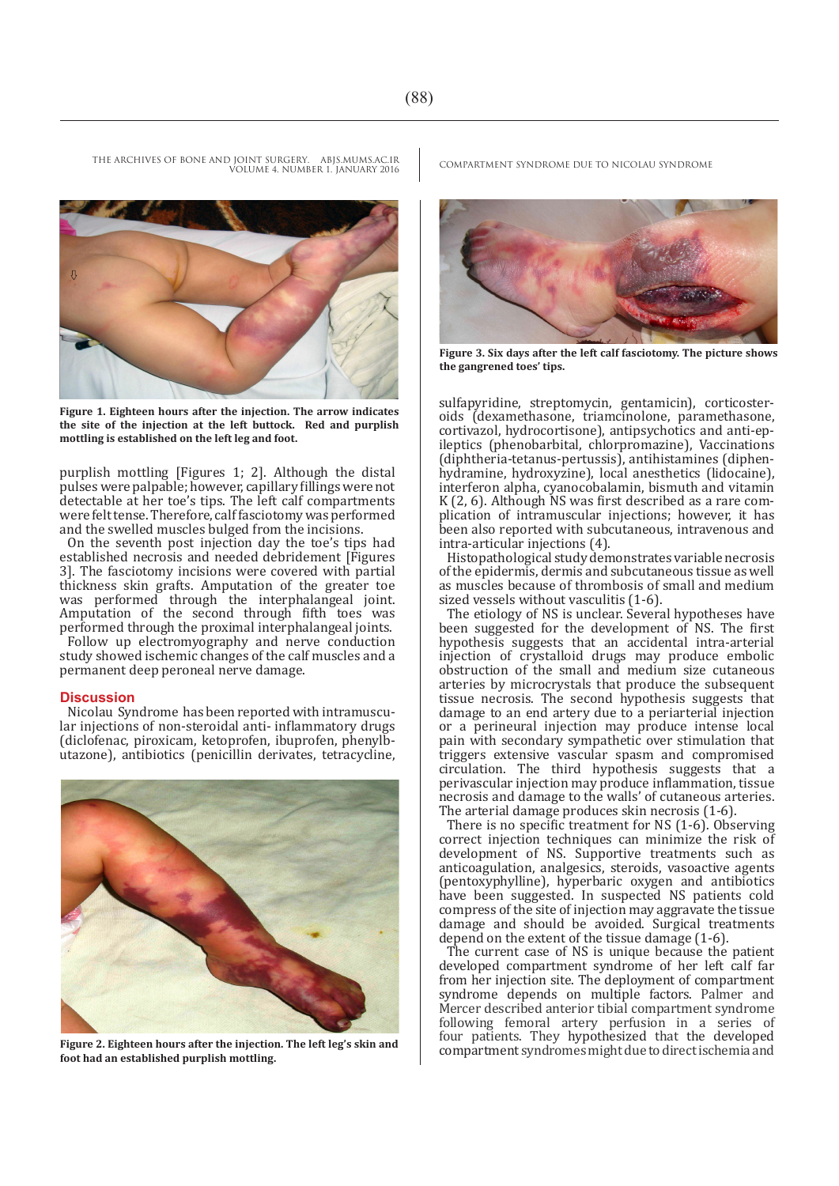VOLUME 4. NUMBER 1. JANUARY 2016

**Figure 1. Eighteen hours after the injection. The arrow indicates the site of the injection at the left buttock. Red and purplish mottling is established on the left leg and foot.** 

purplish mottling [Figures 1; 2]. Although the distal pulses were palpable; however, capillary fillings were not detectable at her toe's tips. The left calf compartments were felt tense. Therefore, calf fasciotomy was performed and the swelled muscles bulged from the incisions.

On the seventh post injection day the toe's tips had established necrosis and needed debridement [Figures 3]. The fasciotomy incisions were covered with partial thickness skin grafts. Amputation of the greater toe was performed through the interphalangeal joint. Amputation of the second through fifth toes was performed through the proximal interphalangeal joints.

Follow up electromyography and nerve conduction study showed ischemic changes of the calf muscles and a permanent deep peroneal nerve damage.

#### **Discussion**

Nicolau Syndrome has been reported with intramuscular injections of non-steroidal anti- inflammatory drugs (diclofenac, piroxicam, ketoprofen, ibuprofen, phenylbutazone), antibiotics (penicillin derivates, tetracycline,



**Figure 2. Eighteen hours after the injection. The left leg's skin and foot had an established purplish mottling.**

THE ARCHIVES OF BONE AND JOINT SURGERY. ABJS.MUMS.AC.IR COMPARTMENT SYNDROME DUE TO NICOLAU SYNDROME



**Figure 3. Six days after the left calf fasciotomy. The picture shows the gangrened toes' tips.**

sulfapyridine, streptomycin, gentamicin), corticosteroids (dexamethasone, triamcinolone, paramethasone, cortivazol, hydrocortisone), antipsychotics and anti-epileptics (phenobarbital, chlorpromazine), Vaccinations (diphtheria-tetanus-pertussis), antihistamines (diphenhydramine, hydroxyzine), local anesthetics (lidocaine), interferon alpha, cyanocobalamin, bismuth and vitamin K (2, 6). Although NS was first described as a rare complication of intramuscular injections; however, it has been also reported with subcutaneous, intravenous and intra-articular injections (4).

Histopathological study demonstrates variable necrosis of the epidermis, dermis and subcutaneous tissue as well as muscles because of thrombosis of small and medium sized vessels without vasculitis (1-6).

The etiology of NS is unclear. Several hypotheses have been suggested for the development of NS. The first hypothesis suggests that an accidental intra-arterial injection of crystalloid drugs may produce embolic obstruction of the small and medium size cutaneous arteries by microcrystals that produce the subsequent tissue necrosis. The second hypothesis suggests that damage to an end artery due to a periarterial injection or a perineural injection may produce intense local pain with secondary sympathetic over stimulation that triggers extensive vascular spasm and compromised circulation. The third hypothesis suggests that a perivascular injection may produce inflammation, tissue necrosis and damage to the walls' of cutaneous arteries. The arterial damage produces skin necrosis (1-6).

There is no specific treatment for NS (1-6). Observing correct injection techniques can minimize the risk of development of NS. Supportive treatments such as anticoagulation, analgesics, steroids, vasoactive agents (pentoxyphylline), hyperbaric oxygen and antibiotics have been suggested. In suspected NS patients cold compress of the site of injection may aggravate the tissue damage and should be avoided. Surgical treatments depend on the extent of the tissue damage (1-6).

The current case of NS is unique because the patient developed compartment syndrome of her left calf far from her injection site. The deployment of compartment syndrome depends on multiple factors. Palmer and Mercer described anterior tibial compartment syndrome following femoral artery perfusion in a series of four patients. They hypothesized that the developed compartment syndromes might due to direct ischemia and